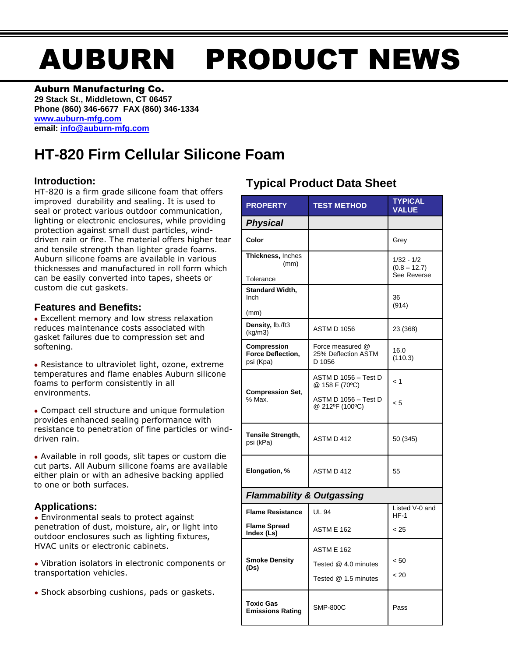# AUBURN PRODUCT NEWS

### Auburn Manufacturing Co.

**29 Stack St., Middletown, CT 06457 Phone (860) 346-6677 FAX (860) 346-1334 [www.auburn-mfg.com](http://www.auburn-mfg.com/) email: [info@auburn-mfg.com](mailto:info@auburn-mfg.com)**

## **HT-820 Firm Cellular Silicone Foam**

## **Introduction:**

HT-820 is a firm grade silicone foam that offers improved durability and sealing. It is used to seal or protect various outdoor communication, lighting or electronic enclosures, while providing protection against small dust particles, winddriven rain or fire. The material offers higher tear and tensile strength than lighter grade foams. Auburn silicone foams are available in various thicknesses and manufactured in roll form which can be easily converted into tapes, sheets or custom die cut gaskets.

## **Features and Benefits:**

**●** Excellent memory and low stress relaxation reduces maintenance costs associated with gasket failures due to compression set and softening.

**●** Resistance to ultraviolet light, ozone, extreme temperatures and flame enables Auburn silicone foams to perform consistently in all environments.

**●** Compact cell structure and unique formulation provides enhanced sealing performance with resistance to penetration of fine particles or winddriven rain.

**●** Available in roll goods, slit tapes or custom die cut parts. All Auburn silicone foams are available either plain or with an adhesive backing applied to one or both surfaces.

## **Applications:**

**●** Environmental seals to protect against penetration of dust, moisture, air, or light into outdoor enclosures such as lighting fixtures, HVAC units or electronic cabinets.

**●** Vibration isolators in electronic components or transportation vehicles.

**●** Shock absorbing cushions, pads or gaskets.

## **Typical Product Data Sheet**

| <b>PROPERTY</b>                                             | <b>TEST METHOD</b>                                         | <b>TYPICAL</b><br><b>VALUE</b>                |  |  |  |
|-------------------------------------------------------------|------------------------------------------------------------|-----------------------------------------------|--|--|--|
| <b>Physical</b>                                             |                                                            |                                               |  |  |  |
| Color                                                       |                                                            | Grey                                          |  |  |  |
| Thickness, Inches<br>(mm)                                   |                                                            | $1/32 - 1/2$<br>$(0.8 - 12.7)$<br>See Reverse |  |  |  |
| Tolerance                                                   |                                                            |                                               |  |  |  |
| Standard Width,<br>Inch<br>(mm)                             |                                                            | 36<br>(914)                                   |  |  |  |
| Density, lb./ft3<br>(kg/m3)                                 | <b>ASTM D 1056</b>                                         | 23 (368)                                      |  |  |  |
| <b>Compression</b><br><b>Force Deflection,</b><br>psi (Kpa) | Force measured @<br>25% Deflection ASTM<br>D 1056          | 16.0<br>(110.3)                               |  |  |  |
| <b>Compression Set,</b><br>% Max.                           | ASTM D 1056 – Test D<br>@ 158 F (70°C)                     | < 1                                           |  |  |  |
|                                                             | ASTM D 1056 - Test D<br>@ 212ºF (100°C)                    | < 5                                           |  |  |  |
| <b>Tensile Strength,</b><br>psi (kPa)                       | ASTM D 412                                                 | 50 (345)                                      |  |  |  |
| Elongation, %                                               | ASTM D 412                                                 | 55                                            |  |  |  |
| <b>Flammability &amp; Outgassing</b>                        |                                                            |                                               |  |  |  |
| <b>Flame Resistance</b>                                     | <b>UL 94</b>                                               | Listed V-0 and<br>HF-1                        |  |  |  |
| <b>Flame Spread</b><br>Index (Ls)                           | <b>ASTM E 162</b>                                          | < 25                                          |  |  |  |
| <b>Smoke Density</b><br>(Ds)                                | ASTM E 162<br>Tested @ 4.0 minutes<br>Tested @ 1.5 minutes | < 50<br>< 20                                  |  |  |  |
| <b>Toxic Gas</b><br><b>Emissions Rating</b>                 | <b>SMP-800C</b>                                            | Pass                                          |  |  |  |